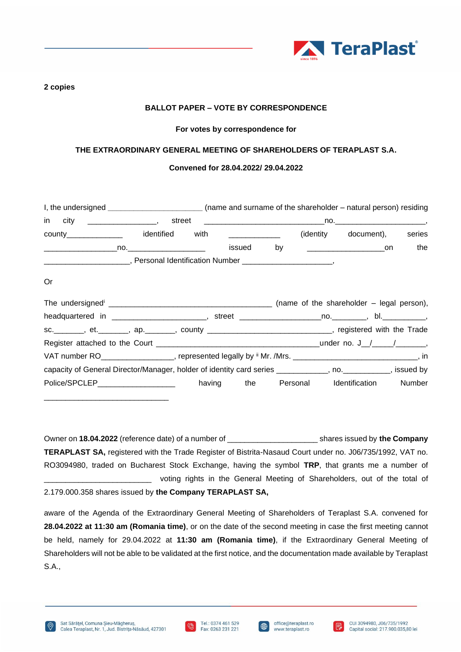

#### **2 copies**

## **BALLOT PAPER – VOTE BY CORRESPONDENCE**

#### **For votes by correspondence for**

## **THE EXTRAORDINARY GENERAL MEETING OF SHAREHOLDERS OF TERAPLAST S.A.**

## **Convened for 28.04.2022/ 29.04.2022**

| I, the undersigned __________________________(name and surname of the shareholder – natural person) residing |  |  |                      |        |
|--------------------------------------------------------------------------------------------------------------|--|--|----------------------|--------|
|                                                                                                              |  |  |                      |        |
| county________________ identified with _____________                                                         |  |  | (identity document), | series |
|                                                                                                              |  |  |                      | the    |
|                                                                                                              |  |  |                      |        |
| 0r                                                                                                           |  |  |                      |        |
|                                                                                                              |  |  |                      |        |
|                                                                                                              |  |  |                      |        |
| sc.________, et.________, ap._______, county _______________________________, registered with the Trade      |  |  |                      |        |
|                                                                                                              |  |  |                      |        |
| VAT number RO___________________, represented legally by ii Mr. /Mrs. _____________________________, in      |  |  |                      |        |
| capacity of General Director/Manager, holder of identity card series ___________, no. __________, issued by  |  |  |                      |        |
| Police/SPCLEP___________________ having the Personal Identification Number                                   |  |  |                      |        |

Owner on **18.04.2022** (reference date) of a number of \_\_\_\_\_\_\_\_\_\_\_\_\_\_\_\_\_\_\_\_\_ shares issued by **the Company TERAPLAST SA,** registered with the Trade Register of Bistrita-Nasaud Court under no. J06/735/1992, VAT no. RO3094980, traded on Bucharest Stock Exchange, having the symbol **TRP**, that grants me a number of voting rights in the General Meeting of Shareholders, out of the total of 2.179.000.358 shares issued by **the Company TERAPLAST SA,**

aware of the Agenda of the Extraordinary General Meeting of Shareholders of Teraplast S.A. convened for **28.04.2022 at 11:30 am (Romania time)**, or on the date of the second meeting in case the first meeting cannot be held, namely for 29.04.2022 at **11:30 am (Romania time)**, if the Extraordinary General Meeting of Shareholders will not be able to be validated at the first notice, and the documentation made available by Teraplast S.A.,



\_\_\_\_\_\_\_\_\_\_\_\_\_\_\_\_\_\_\_\_\_\_\_\_\_\_\_\_\_



 $\bigoplus$ 

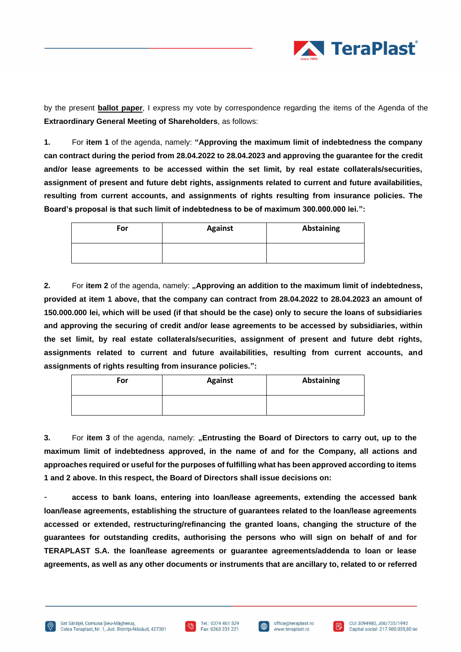

by the present **ballot paper**, I express my vote by correspondence regarding the items of the Agenda of the **Extraordinary General Meeting of Shareholders**, as follows:

**1.** For **item 1** of the agenda, namely: **"Approving the maximum limit of indebtedness the company can contract during the period from 28.04.2022 to 28.04.2023 and approving the guarantee for the credit and/or lease agreements to be accessed within the set limit, by real estate collaterals/securities, assignment of present and future debt rights, assignments related to current and future availabilities, resulting from current accounts, and assignments of rights resulting from insurance policies. The Board's proposal is that such limit of indebtedness to be of maximum 300.000.000 lei.":**

| For | <b>Against</b> | Abstaining |
|-----|----------------|------------|
|     |                |            |

**2.** For **item 2** of the agenda, namely: **"Approving an addition to the maximum limit of indebtedness, provided at item 1 above, that the company can contract from 28.04.2022 to 28.04.2023 an amount of 150.000.000 lei, which will be used (if that should be the case) only to secure the loans of subsidiaries and approving the securing of credit and/or lease agreements to be accessed by subsidiaries, within the set limit, by real estate collaterals/securities, assignment of present and future debt rights, assignments related to current and future availabilities, resulting from current accounts, and assignments of rights resulting from insurance policies.":**

| For | <b>Against</b> | Abstaining |
|-----|----------------|------------|
|     |                |            |

**3.** For **item 3** of the agenda, namely: **"Entrusting the Board of Directors to carry out, up to the maximum limit of indebtedness approved, in the name of and for the Company, all actions and approaches required or useful for the purposes of fulfilling what has been approved according to items 1 and 2 above. In this respect, the Board of Directors shall issue decisions on:**

- **access to bank loans, entering into loan/lease agreements, extending the accessed bank loan/lease agreements, establishing the structure of guarantees related to the loan/lease agreements accessed or extended, restructuring/refinancing the granted loans, changing the structure of the guarantees for outstanding credits, authorising the persons who will sign on behalf of and for TERAPLAST S.A. the loan/lease agreements or guarantee agreements/addenda to loan or lease agreements, as well as any other documents or instruments that are ancillary to, related to or referred** 



曲

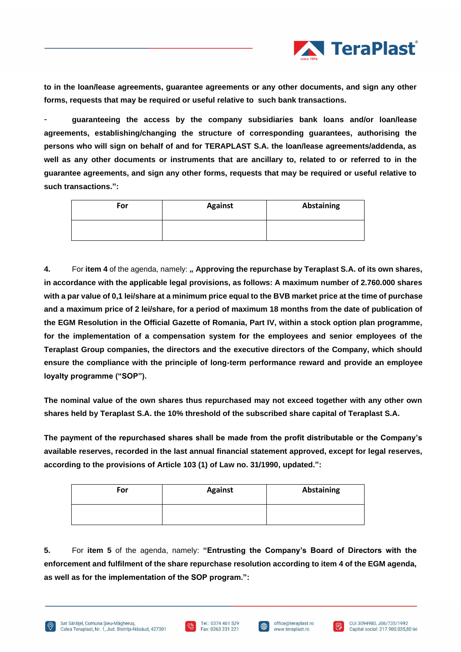

**to in the loan/lease agreements, guarantee agreements or any other documents, and sign any other forms, requests that may be required or useful relative to such bank transactions.**

- **guaranteeing the access by the company subsidiaries bank loans and/or loan/lease agreements, establishing/changing the structure of corresponding guarantees, authorising the persons who will sign on behalf of and for TERAPLAST S.A. the loan/lease agreements/addenda, as well as any other documents or instruments that are ancillary to, related to or referred to in the guarantee agreements, and sign any other forms, requests that may be required or useful relative to such transactions.":**

| For | <b>Against</b> | Abstaining |
|-----|----------------|------------|
|     |                |            |

**4.** For **item 4** of the agenda, namely: **" Approving the repurchase by Teraplast S.A. of its own shares, in accordance with the applicable legal provisions, as follows: A maximum number of 2.760.000 shares with a par value of 0,1 lei/share at a minimum price equal to the BVB market price at the time of purchase and a maximum price of 2 lei/share, for a period of maximum 18 months from the date of publication of the EGM Resolution in the Official Gazette of Romania, Part IV, within a stock option plan programme, for the implementation of a compensation system for the employees and senior employees of the Teraplast Group companies, the directors and the executive directors of the Company, which should ensure the compliance with the principle of long-term performance reward and provide an employee loyalty programme ("SOP").**

**The nominal value of the own shares thus repurchased may not exceed together with any other own shares held by Teraplast S.A. the 10% threshold of the subscribed share capital of Teraplast S.A.**

**The payment of the repurchased shares shall be made from the profit distributable or the Company's available reserves, recorded in the last annual financial statement approved, except for legal reserves, according to the provisions of Article 103 (1) of Law no. 31/1990, updated.":**

| For | <b>Against</b> | Abstaining |
|-----|----------------|------------|
|     |                |            |

**5.** For **item 5** of the agenda, namely: **"Entrusting the Company's Board of Directors with the enforcement and fulfilment of the share repurchase resolution according to item 4 of the EGM agenda, as well as for the implementation of the SOP program.":**





曲

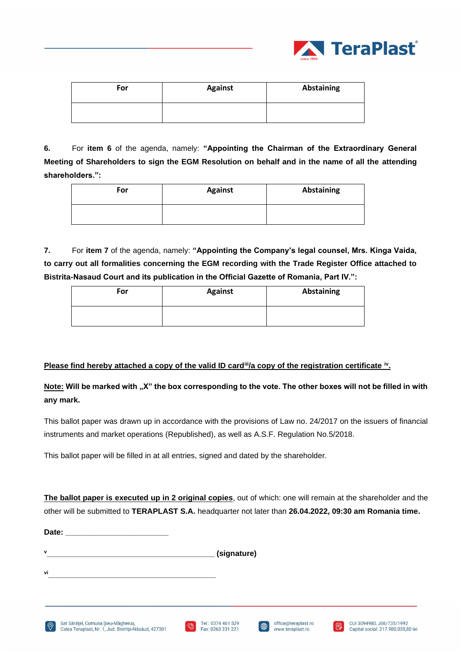

| For | <b>Against</b> | <b>Abstaining</b> |
|-----|----------------|-------------------|
|     |                |                   |

**6.** For **item 6** of the agenda, namely: **"Appointing the Chairman of the Extraordinary General Meeting of Shareholders to sign the EGM Resolution on behalf and in the name of all the attending shareholders.":**

| For | <b>Against</b> | <b>Abstaining</b> |
|-----|----------------|-------------------|
|     |                |                   |

**7.** For **item 7** of the agenda, namely: **"Appointing the Company's legal counsel, Mrs. Kinga Vaida, to carry out all formalities concerning the EGM recording with the Trade Register Office attached to Bistrita-Nasaud Court and its publication in the Official Gazette of Romania, Part IV.":**

| For | <b>Against</b> | Abstaining |
|-----|----------------|------------|
|     |                |            |

# **Please find hereby attached a copy of the valid ID card<sup>ii</sup>/a copy of the registration certificate <sup>iv</sup>.**

**Note:** Will be marked with "X" the box corresponding to the vote. The other boxes will not be filled in with **any mark.** 

This ballot paper was drawn up in accordance with the provisions of Law no. 24/2017 on the issuers of financial instruments and market operations (Republished), as well as A.S.F. Regulation No.5/2018.

This ballot paper will be filled in at all entries, signed and dated by the shareholder.

**The ballot paper is executed up in 2 original copies**, out of which: one will remain at the shareholder and the other will be submitted to **TERAPLAST S.A.** headquarter not later than **26.04.2022, 09:30 am Romania time.** 

office@teraplast.ro

www.teraplast.ro

 $\oplus$ 

CUI 3094980, J06/735/1992

Capital social: 217.900.035.80 lei

IR.

| (signature) |
|-------------|
|             |



Date:

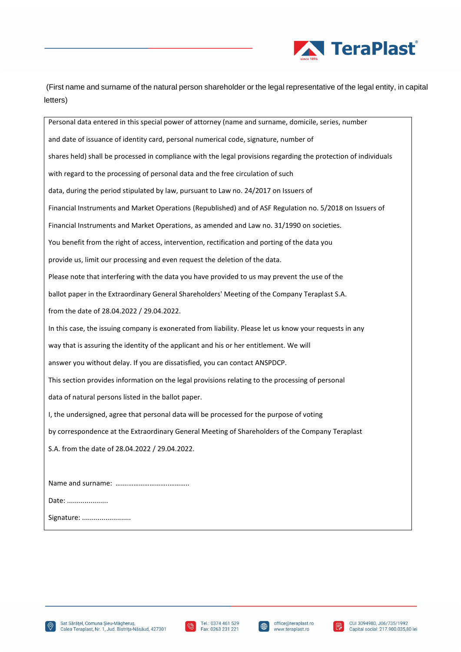

(First name and surname of the natural person shareholder or the legal representative of the legal entity, in capital letters)

Personal data entered in this special power of attorney (name and surname, domicile, series, number and date of issuance of identity card, personal numerical code, signature, number of shares held) shall be processed in compliance with the legal provisions regarding the protection of individuals with regard to the processing of personal data and the free circulation of such data, during the period stipulated by law, pursuant to Law no. 24/2017 on Issuers of Financial Instruments and Market Operations (Republished) and of ASF Regulation no. 5/2018 on Issuers of Financial Instruments and Market Operations, as amended and Law no. 31/1990 on societies. You benefit from the right of access, intervention, rectification and porting of the data you provide us, limit our processing and even request the deletion of the data. Please note that interfering with the data you have provided to us may prevent the use of the ballot paper in the Extraordinary General Shareholders' Meeting of the Company Teraplast S.A. from the date of 28.04.2022 / 29.04.2022. In this case, the issuing company is exonerated from liability. Please let us know your requests in any way that is assuring the identity of the applicant and his or her entitlement. We will answer you without delay. If you are dissatisfied, you can contact ANSPDCP. This section provides information on the legal provisions relating to the processing of personal data of natural persons listed in the ballot paper. I, the undersigned, agree that personal data will be processed for the purpose of voting by correspondence at the Extraordinary General Meeting of Shareholders of the Company Teraplast S.A. from the date of 28.04.2022 / 29.04.2022. Name and surname: …….…………………..……….. Date: .....................

Signature: ..........................